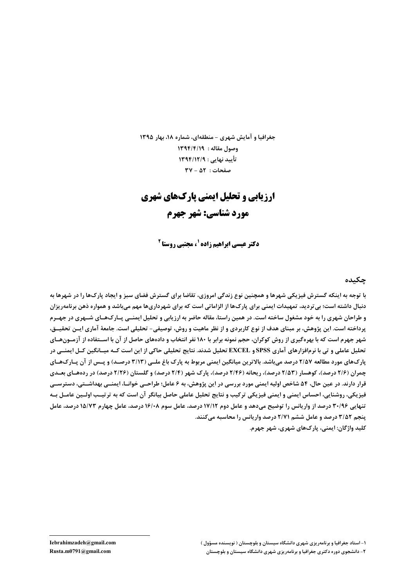جغرافیا و آمایش شهری - منطقهای، شماره ۱۸، بهار ۱۳۹۵ وصول مقاله : ١٣٩٤/٤/١ تأييد نهايي : ١٣٩٤/١٢/٩  $\mathsf{Y} \mathsf{V} - \Delta \mathsf{Y}$ : صفحات

# **ارزیابی و تحلیل ایمنی پارکهای شهری** مورد شناسي: شهر جهرم

**دکتر عیسی ابراهیم زاده <sup>۱</sup> ، مجتبی روستا <sup>۲</sup>** 

#### چکىدە

با توجه به اینکه گسترش فیزیکی شهرها و همچنین نوع زندگی امروزی، تقاضا برای گسترش فضای سبز و ایجاد پارکها را در شهرها به دنبال داشته است؛ بی تردید، تمهیدات ایمنی برای پارک ها از الزاماتی است که برای شهرداریها مهم میباشد و همواره ذهن برنامهریزان و طراحان شهری را به خود مشغول ساخته است. در همین راستا، مقاله حاضر به ارزیابی و تحلیل ایمنــی پــارک\$ـای شــهری در جهــرم پرداخته است. این پژوهش، بر مبنای هدف از نوع کاربردی و از نظر ماهیت و روش، توصیفی- تحلیلی است. جامعهٔ آماری ایــن تحقیــق، شهر جهرم است که با بهرهگیری از روش کوکران، حجم نمونه برابر با ۱۸۰ نفر انتخاب و دادههای حاصل از آن با اسـتفاده از آزمـونهـای تحلیل عاملی و تی با نرمافزارهای آماری SPSS و EXCEL تحلیل شدند. نتایج تحلیلی حاکی از این است کــه میــانگین کــل ایمنــی در پارکھای مورد مطالعه ۲/۵۷ درصد میباشد. بالاترین میانگین ایمنی مربوط به پارک باغ ملـی (۳/۱۳ درصـد) و پـس از آن پـارکھـای چمران (۲/۶ درصد)، کوهسار (۲/۵۳ درصد)، ریحانه (۲/۴۶ درصد)، پارک شهر (۲/۴ درصد) و گلستان (۲/۲۶ درصد) در ردهصای بعـدی قرار دارند. در عین حال، ۵۴ شاخص اولیه ایمنی مورد بررسی در این پژوهش، به ۶ عامل؛ طراحـی خوانـا، ایمنـی بهداشـتی، دسترســی فيزيكي، روشنايي، احساس ايمني و ايمني فيزيكي تركيب و نتايج تحليل عاملي حاصل بيانگر آن است كه به ترتيـب اولــين عامــل بــه تنهایی ۳۰/۹۶ درصد از واریانس را توضیح میدهد و عامل دوم ۱۷/۱۲ درصد، عامل سوم ۱۶/۰۸ درصد، عامل چهارم ۱۵/۷۳ درصد، عامل ینجم ۳/۵۲ درصد و عامل ششم ۲/۷۱ درصد واریانس را محاسبه می کنند. کلید واژگان: ایمنی، پارکھای شهری، شهر جهرم.

۱- استاد جغرافیا و برنامهریزی شهری دانشگاه سیستان و بلوچستان ( نویسنده مسؤول ) ۲- دانشجوی دوره دکتری جغرافیا و برنامهریزی شهری دانشگاه سیستان و بلوچستان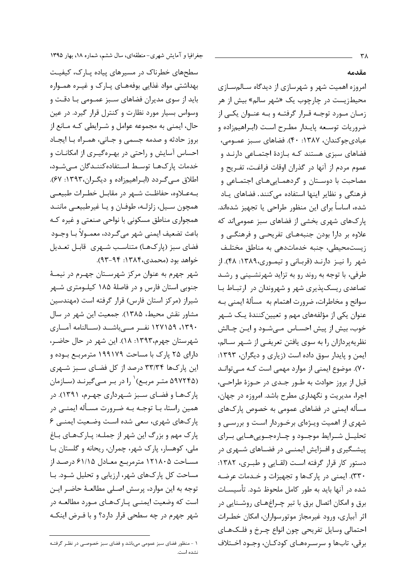جغرافیا و آمایش شهری-منطقهای، سال ششم، شماره ۱۸، بهار ۱۳۹۵

سطحهای خطرناک در مسیرهای پیاده پارک، کیفیت بهداشتی مواد غذایی بوفههای پـارک و غیـره همـواره باید از سوی مدیران فضاهای سـبز عمـومی بـا دقـت و وسواس بسیار مورد نظارت و کنترل قرار گیرد. در عین حال، ایمنی به مجموعه عوامل و شـرایطی کـه مـانع از بروز حادثه و صدمه جسمي و جـاني، همـراه بـا ايجـاد احساس آسایش و راحتی در بهـرهگیـری از امکانـات و خدمات یارک&L توسط اسـتفادهکننـدگان مـے شـود، اطلاق مےگردد (ابراهیمزاده و دیگران،۱۳۹۳: ۶۷). به علاوه، حفاظت شـهر در مقابـل خطـرات طبيعـى همچون سیل، زلزلـه، طوفـان و یـا غیرطبیعـی ماننـد همجواری مناطق مسکونی با نواحی صنعتی و غیره کـه باعث تضعيف ايمني شهر مي گـردد، معمـولاً بـا وجـود فضای سبز (پارکھا) متناسب شـهری قابـل تعـديل خواهد بود (محمدي،۱۳۸۴: ۹۳-۹۳).

شهر جهرم به عنوان مرکز شهرسـتان جهـرم در نيمـهٔ جنوبی استان فارس و در فاصلهٔ ۱۸۵ کیلـومتری شـهر شیراز (مرکز استان فارس) قرار گرفته است (مهندسین مشاور نقش محیط، ۱۳۸۵). جمعیت این شهر در سال ۱۳۹۰، ۱۲۷۱۵۹ نف رمسی باشد (سالنامه آمساری شهرستان جهرم،۱۳۹۳: ۱۸). این شهر در حال حاضـر، دارای ۲۵ پارک با مساحت ۱۹۹۱۷۹ مترمربـع بـوده و این پارکها ۳۳/۳۴ درصد از کل فضای سـبز شـهری (۵۹۷۲۴۵ متـر مربـع)<sup>\</sup> را در بـر مــی گیرنـد (سـازمان پارکها و فضای سبز شهرداری جهـرم، ۱۳۹۱). در همین راستا، بـا توجـه بـه ضـرورت مسـأله ایمنـی در پارکهای شهری، سعی شده است وضعیت ایمنی ۶ یارک مهم و بزرگ این شهر از جملـه: یـارکـهـای بـاغ ملي، كوهسار، پارک شهر، چمران، ريحانه و گلستان بـا مساحت ۱۲۱۸۰۵ مترمربع معـادل ۶۱/۱۵ درصـد از مساحت کل یارکهای شهر، ارزیابی و تحلیل شـود. بـا توجه به این موارد، پرسش اصلی مطالعـهٔ حاضـر ایـن است که وضعیت ایمنــی پــارکـهـای مــورد مطالعــه در شهر جهرم در چه سطحی قرار دارد؟ و با فیرض اینکـه

مقدمه

امروزه اهمیت شهر و شهرسازی از دیدگاه سـالمسـازی محیطزیست در چارچوب یک «شهر سالم» بیش از هر زمـان مـورد توجـه قـرار گرفتـه و بـه عنـوان یکـی از ضروريات توسيعه پاييدار مطيرح است (ابراهيمزاده و عبادي جوكندان، ١٣٨٧: ۴٠). فضاهاي سبز عمـومي، فضاهای سبزی هستند کـه بـازدهٔ اجتمـاعی دارنـد و عموم مردم از آنها در گذران اوقات فراغت، تفـریح و مصاحبت با دوسـتان و گردهمـاییهـای اجتمـاعی و فرهنگی و نظایر اینها استفاده می کنند. فضاهای پاد شده، اساساً برای این منظور طراحی یا تجهیز شدهاند. پارکهای شهری بخشی از فضاهای سبز عمومی|ند که علاوه بر دارا بودن جنبههای تفریحی و فرهنگی و زیستمحیطی، جنبه خدماتدهی به مناطق مختلف شهر را نیز دارند (قربانی و تیموری،١٣٨٩: ۴٨). از طرفی، با توجه به روند رو به تزاید شهرنشـینی و رشـد تصاعدی ریسک پذیری شهر و شهروندان در ارتباط با سوانح و مخاطرات، ضرورت اهتمام به مسألة ايمنى بـه عنوان یکی از مؤلفههای مهم و تعیین کنندهٔ یـک شـهر خوب، بيش از پيش احسـاس مـيشـود و ايـن چـالش نظریهپردازان را به سوی یافتن تعریفـی از شـهر سـالم، ایمن و پایدار سوق داده است (زیاری و دیگران، ۱۳۹۳: ۷۰). موضوع ایمنی از موارد مهمی است کـه مـی توانـد قبل از بروز حوادث به طــور جــدى در حــوزهٔ طراحــی، اجرا، مدیریت و نگهداری مطرح باشد. امروزه در جهان، مسأله ايمني در فضاهاي عمومي به خصوص پارکهاي شهری از اهمیت ویـژهای برخـوردار اسـت و بررسـی و تحليــل شــرايط موجــود و چــارهجــويىهــايى بــراى پیشگیری و افــزایش ایمنــی در فضــاهای شــهری در دستور کار قرار گرفته است (لقبایی و طبیری، ۱۳۸۲: ٣٣٠). ايمني در ياركها و تجهيزات و خـدمات عرضـه شده در آنها باید به طور کامل ملحوظ شود. تأسیسـات برق و امکان اتصال برق با تیر چـراغهـای روشـنایی در اثر آبیاری، ورود غیرمجاز موتورسواران، امکان خطـرات احتمالي وسايل تفريحي چون انواع چـرخ و فلـكـهـاي برقی، تابها و سرسـرههـای کودکـان، وجـود اخـتلاف

١ - منظور فضاى سبز عمومى مى باشد و فضاى سبز خصوصـى در نظـر گرفتــه .<br>نشده است.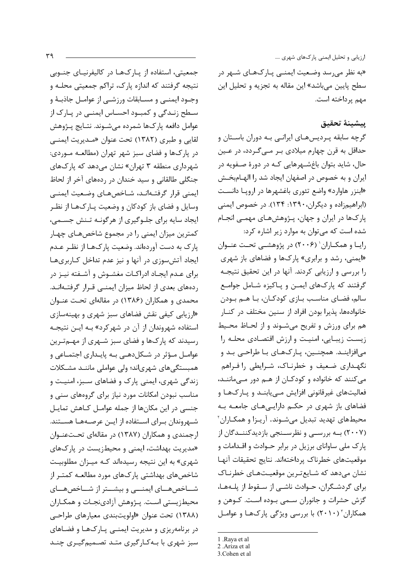جمعیتی، استفاده از پـارکـهـا در کالیفرنیـای جنــوبی نتیجه گرفتند که اندازه پارک، تراکم جمعیتی محلـه و وجــود ايمنـــي و مســابقات ورزشــي از عوامــل جاذبــهٔ و سطح زندگی و کمبود احساس ایمنے در پارک از عوامل دافعه ياركها شمرده مي شــوند. نتــايج پــژوهش لقايي و طبري (١٣٨٢) تحت عنوان «مـديريت ايمنـي در پارکها و فضای سبز شهر تهران (مطالعـه مـوردی: شھرداری منطقه ۳ تھران» نشان مے دھد که یارکھای جنگلی طالقانی و سید خندان در ردههای آخر از لحاظ ايمنى قرار گرفتـهانـد، شـاخصهـاى وضـعيت ايمنـى وسایل و فضای باز کودکان و وضعیت پـارک&ـا از نظـر ایجاد سایه برای جلـوگیری از هرگونـه تـنش جسـمی، کمترین میزان ایمنی را در مجموع شاخصهای چهبار پارک به دست آوردهاند. وضعیت پارکهـا از نظـر عـدم ایجاد آتش سوزی در آنها و نیز عدم تداخل کاربریها برای عـدم ایجـاد ادراکـات مغشـوش و آشـفته نیـز در ردههای بعدی از لحاظ میزان ایمنے قرار گرفتهانـد. محمدی و همکاران (۱۳۸۶) در مقالهای تحت عنـوان «ارزیابی کیفی نقش فضاهای سبز شهری و بهینهسازی استفاده شهروندان از آن در شهرکرد» بـه ایـن نتیجـه رسیدند که یارک&ا و فضای سبز شـهری از مهــمتـرین عوامـل مـؤثر در شـكلدهـي بـه پايـداري اجتمـاعي و همبستگیهای شهریاند؛ ولی عواملی ماننـد مشـكلات زندگی شهری، ایمنی پارک و فضاهای سـبز، امنیـت و مناسب نبودن امکانات مورد نیاز برای گروههای سنی و جنسی در این مکانها از جمله عوامـل کـاهش تمایـل شـهروندان بـراي اسـتفاده از ايـن عرصـههـا هسـتند. ارجمندی و همکاران (۱۳۸۷) در مقالهای تحتعنوان «مدیریت بهداشت، ایمنی و محیطزیست در پارکهای شهری» به این نتیجه رسیدهاند کـه میـزان مطلوبیـت شاخصهای بهداشتی یارکهای مورد مطالعـه کمتـر از شــاخصهــای ایمنـــی و بیشــتر از شــاخصهــای محیطزیستی است. پـژوهش آزادینجـات و همکـاران (۱۳۸۸) تحت عنوان «اولویتبندی معیارهای طراحه در برنامهریزی و مدیریت ایمنبی پارکها و فضاهای سبز شهری با بـهکـارگیری متـد تصـمیمگیـری چنـد

ارزیابی و تحلیل ایمنی پارکهای شهری ....

«به نظر می٫سد وضـعیت ایمنــی پــارکـهــای شــهر در سطح پایین میباشد» این مقاله به تجزیه و تحلیل این مهم پرداخته است.

## پيشينهٔ تحقيق

گرچه سابقه پـرديسهـاي ايرانـي بـه دوران باسـتان و حداقل به قرن چهارم میلادی بـر مـیگـردد، در عـین حال، شاید بتوان باغشـهرهایی کـه در دورهٔ صـفویه در ایران و به خصوص در اصفهان ایجاد شد را الهـامبخـش «ابنزر هاوارد» واضع تئوری باغشهرها در اروپا دانست (ابراهیمزاده و دیگران، ۱۳۹۰: ۱۳۴). در خصوص ایمنی یار کها در ایران و جهان، پـژوهشهـای مهمـی انجـام شده است که می توان به موارد زیر اشاره کرد: رایـا و همکـاران' (۲۰۰۶) در پژوهشـی تحـت عنـوان

«ایمنی، رشد و برابری» یارکها و فضاهای باز شهری را بررسی و ارزیابی کردند. آنها در این تحقیق نتیجـه گرفتند که پارکهای ایمـن و پـاکیزه شـامل جوامـع سالم، فضـاي مناسـب بـازي كودكـان، بـا هـم بـودن خانوادهها، پذیرا بودن افراد از سنین مختلف در کنـار هم برای ورزش و تفریح میشوند و از لحاظ محیط زیست زیبایی، امنیت و ارزش اقتصادی محلـه را میافزاینـد. همچنـین، پـارکهـای بـا طراحـی بـد و نگهداری ضعیف و خطرناک، شرایطی را فراهم میکنند که خانواده و کودکـان از هـم دور مـیماننـد، فعالیتهای غیرقانونی افزایش مےپابنـد و پـارکـهـا و فضاهای باز شهری در حکم دارایهههای جامعه به محیطهای تهدید تبدیل میشوند. آریـزا و همکـاران ّ (۲۰۰۷) بــه بررســی و نظرســنجی بازدیدکننــدگان از پارک ملی ساوانای برزیل در برابر حـوادث و اقـدامات و موقعيتهاى خطرناك پرداختهاند. نتايج تحقيقات آنها نشان میدهد که شـایعترین موقعیـتهـای خطرنـاک برای گردشگران، حـوادث ناشـی از سـقوط از پلـههـا، گزش حشرات و جانوران سـمى بـوده اسـت. كـوهن و همکاران" (۲۰۱۰) با بررسی ویژگی پارکها و عوامل

<sup>1 .</sup>Raya et al 2 .Ariza et al

<sup>3.</sup> Cohen et al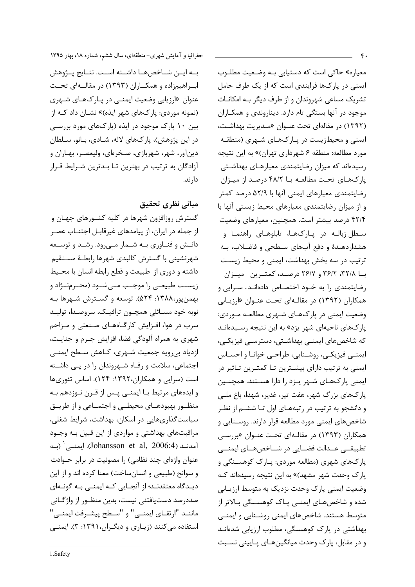معیاره» حاکی است که دستیابی بـه وضـعیت مطلـوب ایمنی در پارکها فرایندی است که از یک طرف حامل تشریک مساعی شهروندان و از طرف دیگر بـه امکانـات موجود در آنها بستگی تام دارد. دیناروندی و همکـاران (١٣٩٢) در مقالهای تحت عنـوان «مـديريت بهداشـت، ایمنی و محیطزیست در پارکهای شهری (منطقه مورد مطالعه: منطقه ۶ شهرداري تهران)» به اين نتيجه رسیدهاند که میزان رضایتمندی معیارهـای بهداشـتی یار کـهـای تحـت مطالعـه بــا ۴۸/۲ درصـد از میـزان رضایتمندی معیارهای ایمنی آنها با ۵۲/۹ درصد کمتر و از میزان رضایتمندی معیارهای محیط زیستی آنها با ۴۲/۴ درصد بیشتر است. همچنین، معیارهای وضعیت سطل زبالـه در یـارکـهـا، تابلوهـای راهنمـا و هشداردهندهٔ و دفع آبهای سطحی و فاضلاب، بـه ترتیب در سه بخش بهداشت، ایمنی و محیط زیست با ۳۶/۱۸، ۳۶/۲ و ۲۶/۷ درصد، کمترین میتزان رضایتمندی را به خـود اختصـاص دادهانـد. سـرایی و همکاران (۱۳۹۲) در مقالهای تحت عنوان «ارزیابی وضعیت ایمنی در پارکهای شـهری مطالعـه مـوردی: پارکهای ناحیهای شهر یزد» به این نتیجه رسـیدهانـد که شاخصهای ایمنـی بهداشـتی، دسترسـی فیزیکـی، ايمنـي فيزيكـي، روشـنايي، طراحـي خوانـا و احسـاس ایمنی به ترتیب دارای بیشـترین تـا کمتـرین تـاثیر در ایمنی پارکهای شـهر یـزد را دارا هسـتند. همچنـین پارکھای بزرگ شهر، هفت تیر، غدیر، شهدا، باغ ملبی و دانشجو به ترتیب در رتبههـای اول تـا ششـم از نظـر شاخصهای ایمنی مورد مطالعه قرار دارند. روستایی و همکاران (۱۳۹۳) در مقالـهای تحـت عنـوان «بررسـی تطبیقے عــدالت فضــایی در شــاخصهــای ایمنــی یارکهای شهری (مطالعه موردی: یـارک کوهسـنگی و یارک وحدت شهر مشهد)» به این نتیجه رسیدهاند کـه وضعیت ایمنی پارک وحدت نزدیک به متوسط ارزیـابی شده و شاخصهـای ایمنـی پـاک کوهسـنگی بـالاتر از متوسط هستند. شاخصهای ایمنی روشـنایی و ایمنـی بهداشتی در پارک کوهسنگی، مطلوب ارزیابی شدهانـد و در مقابل، پارک وحدت میانگینهای پایینی نسبت

جغرافیا و آمایش شهری-منطقهای، سال ششم، شماره ۱۸، بهار ۱۳۹۵

بـه ايــن شــاخصهــا داشــته اســت. نتــايج يــژوهش ابراهیمزاده و همکاران (۱۳۹۳) در مقالهای تحت عنوان «ارزیابی وضعیت ایمنــی در پــارکـهــای شــهری (نمونه موردي: پارکهاي شهر ايذه)» نشــان داد کــه از بین ۱۰ پارک موجود در ایذه (پارکهای مورد بررسے) در این پژوهش)، پارکهای لاله، شـادی، بـانو، سـلطان دينآور، شهر، شهربازي، صخرهاي، وليعصـر، بهـاران و آزادگان به ترتیب در بهترین تـا بـدترین شـرایط قـرار دا, ند.

## مباني نظري تحقيق

گسترش روزافزون شهرها در کلیه کشـورهای جهـان و از جمله در ایران، از پیامدهای غیرقابـل اجتنــاب عصـر دانـش و فنـاوري بـه شـمار مـيرود. رشـد و توسـعه شهرنشینی با گسترش کالبدی شهرها رابطـهٔ مســتقیم داشته و دوري از طبيعت و قطع رابطه انسان با محيط زیست طبیعی را موجب مهیشود (محـرمنـژاد و بهمنپور،۱۳۸۸: ۵۲۴). توسعه و گسـترش شـهرها بـه نوبه خود مسـائلي همچــون ترافيــک، سروصـدا، توليــد سرب در هوا، افـزایش کارگــاههــای صـنعتی و مـزاحم شهري به همراه آلودگي فضا، افزايش جـرم و جنايـت، ازدیاد بیرویه جمعیت شـهری، کـاهش سـطح ایمنـی اجتماعی، سلامت و رفاه شهروندان را در پی داشته است (سرایی و همکاران،۱۳۹۲: ۱۲۴). اساس تئوریها و ایدههای مرتبط بـا ایمنـی پـس از قـرن نـوزدهم بـه منظور بهبودهـاى محيطـى و اجتمـاعى و از طريــق سیاست گذاریهایی در اسکان، بهداشت، شرایط شغلی، مراقبتهای بهداشتی و مواردی از این قبیل بـه وجـود آمدنـد (Johansson et al, 2006:4). ایمنـی (بـه عنوان واژهای چند نظامی) را مصونیت در برابر حـوادث و سوانح (طبيعي و انسانساخت) معنا كرده اند و از اين دیـدگاه معتقدنـد؛ از آنجـایی کـه ایمنـی بـه گونـهای صددرصد دستيافتني نيست، بدين منظـور از واژگــاني ماننـد "ارتقـاي ايمنـي" و "سـطح پيشـرفت ايمنـي" استفاده می کنند (زیباری و دیگران، ۱۳۹۱: ۳). ایمنبی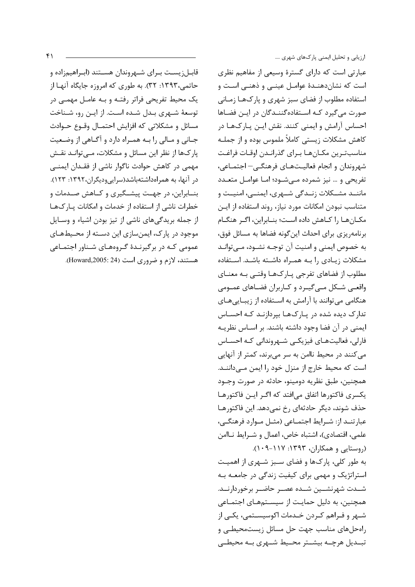قابـل; یسـت بـرای شـهروندان هسـتند (ابـراهیم;اده و حاتمي،١٣٩٣: ٣٢). به طوري كه امروزه جايگاه آنهـا از یک محیط تفریحی فراتر رفتـه و بـه عامـل مهمـی در توسعهٔ شـهری بـدل شـده اسـت. از ایـن رو، شـناخت مسائل و مشکلاتی که افزایش احتمـال وقـوع حـوادث جـاني و مـالي را بـه همـراه دارد و آگـاهي از وضـعيت پارکها از نظر این مسائل و مشکلات، مےتوانـد نقـش مهمی در کاهش حوادث ناگوار ناشی از فقـدان ایمنــی در آنها، به همراهداشتهباشد(سرایی ودیگران،۱۳۹۲: ۱۲۳). بنـابراین، در جهـت پیشـگیری و کـاهش صـدمات و خطرات ناشی از استفاده از خدمات و امکانات پارکها از جمله بریدگیهای ناشی از تیز بودن اشیاء و وسـایل موجود در پارک، ایمن سازی این دسـته از محـیطهـای عمومی کـه در برگیرنـدهٔ گـروههـای شـناور اجتمـاعی هستند، لازم و ضروري است (Howard,2005: 24). ارزیابی و تحلیل ایمنی پارکهای شهری ....

عبارتی است که دارای گسترهٔ وسیعی از مفاهیم نظری است که نشاندهنـدهٔ عوامـل عینـی و ذهنـی اسـت و استفاده مطلوب از فضای سبز شهری و یارکهـا زمـانی صورت میگیرد کـه اسـتفادهگننـدگان در ایـن فضـاها احساس آرامش و ایمنی کنند. نقش ایـن پـارک@ا در كاهش مشكلات زيستي كاملاً ملموس بوده و از جملـه مناسبترين مكـانهـا بـراي گذرانـدن اوقـات فراغـت شهروندان و انجام فعالیـتهـای فرهنگـی– اجتمـاعی، تفریحی و … نیز شمرده مے شــود؛ امــا عوامــل متعــدد ماننــد مشــكلات زنــدگی شــهری، ايمنــی، امنيــت و متناسب نبودن امكانات مورد نياز، روند استفاده از ايـن مكـانهـا را كـاهش داده اسـت؛ بنـابراين، اگـر هنگـام برنامه٫یزی برای احداث این گونه فضاها به مسائل فوق، به خصوص ايمني و امنيت آن توجـه نشـود، مـيتوانـد مشکلات زیادی را به همراه داشته باشد. استفاده مطلوب از فضاهای تفرجی پـارکھـا وقتـی بـه معنـای واقعی شکل میگیرد و کاربران فضاهای عمومی هنگامی می توانند با آرامش به اسـتفاده از زیبـایی هـای تدارک دیده شده در پارکها بپردازنـد کـه احسـاس ایمنی در آن فضا وجود داشته باشند. بر اسـاس نظریـه فارلي، فعالیتهـای فیزیکـی شـهروندانی کـه احسـاس می کنند در محیط ناامن به سر می برند، کمتر از آنهایی است که محیط خارج از منزل خود را ایمن مـیداننـد. همچنین، طبق نظریه دومینو، حادثه در صورت وجـود يكسرى فاكتورها اتفاق مىافتد كه اگـر ايـن فاكتورهـا حذف شوند، دیگر حادثهای رخ نمی دهد. این فاکتورهـا عبارتنـد از: شـرايط اجتمـاعي (مثـل مـوارد فرهنگـى، علمي، اقتصادي)، اشتباه خاص، اعمال و شـرايط نـاامن (روستایی و همکاران، ۱۳۹۳: ۱۱۷-۰۹).

به طور کلی، پارکها و فضای سـبز شـهری از اهمیـت استراتژیک و مهمی برای کیفیت زندگی در جامعـه بـه شــدت شهرنشــين شــده عصــر حاضــر برخوردارنــد. همچنین، به دلیل حمایت از سیستمهای اجتماعی شـهر و فـراهم كـردن خـدمات اكوسيسـتمى، يكـي از راه حل های مناسب جهت حل مسائل زیست محیطے و تبدیل هرچـه بیشـتر محـیط شـهری بـه محیطـی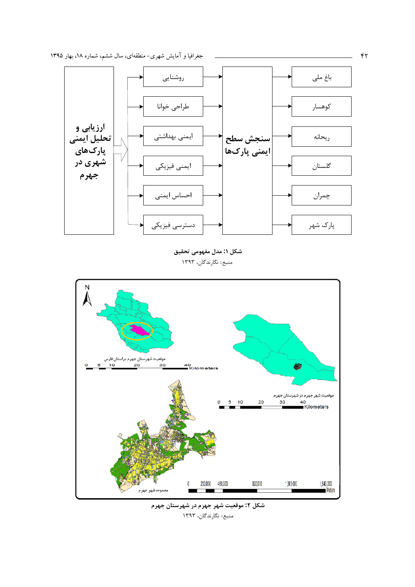

شكل ١: مدل مفهومي تحقيق منبع:: نگارندگان، ۱۳۹۳



جغرافیا و آمایش شهری-منطقهای، سال ششم، شماره ۱۸، بهار ۱۳۹۵

 $\sum$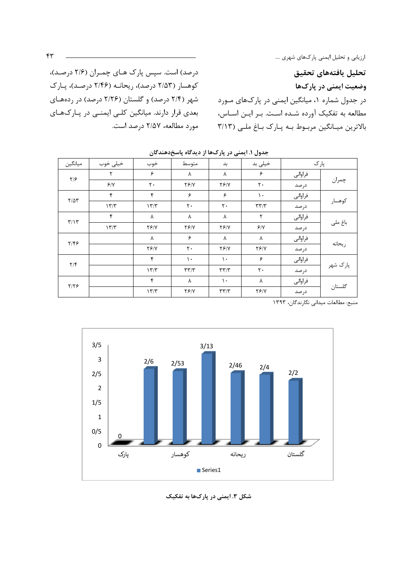تحليل يافتههاى تحقيق وضعیت ایمنی در پارکها در جدول شماره ۱، میانگین ایمنی در پارکهای مـورد مطالعه به تفکیک آورده شـده اسـت. بـر ایـن اسـاس، بالاترین میـانگین مربـوط بـه پـارک بـاغ ملـی (٣/١٣

درصد) است. سپس پارک هـای چمـران (۲/۶ درصـد)، کوهسار (۲/۵۳ درصد)، ریحانـه (۲/۴۶ درصـد)، پـارک شهر (۲/۴ درصد) و گلستان (۲/۲۶ درصد) در ردههای بعدی قرار دارند. میانگین کلبی ایمنبی در پارکهای مورد مطالعه، ۲/۵۷ درصد است.

|                         |          | ັ            | ╰<br>$\mathbf{v}$<br>$\cdot$ $\cdot$ | ى بىر           | $\cdot$<br>--   |         |          |
|-------------------------|----------|--------------|--------------------------------------|-----------------|-----------------|---------|----------|
| ميانگين                 | خیلی خوب | خوب          | متوسط                                | بد              | خیلی بد         | پار ک   |          |
| $\frac{1}{2}$           |          | ۶            | Λ                                    | ٨               | ۶               | فراواني |          |
|                         | 9/1      | ٢.           | YY/Y                                 | YY/Y            | $\mathbf{r}$ .  | در صد   | چمران    |
| $Y/\Delta Y$            | ۴        | ۴            | ۶                                    | ۶               | $\mathcal{L}$   | فراوانى |          |
|                         | 177      | 177          | $\mathsf{r}$ .                       | $\mathbf{r}$ .  | $\tau\tau/\tau$ | در صد   | كوهسار   |
| $\mathbf{r}/\mathbf{r}$ | ۴        | ٨            | ٨                                    | ٨               | ٢               | فراواني |          |
|                         | 17/T     | YY/Y         | YY/Y                                 | YY/Y            | 9/1             | در صد   | باغ ملی  |
| $Y/\mathfrak{F}$        |          | ٨            | ۶                                    | ٨               | ٨               | فراواني |          |
|                         |          | YY/Y         | $\mathsf{r}$ .                       | YY/Y            | YY/Y            | درصد    | ريحانه   |
| $\mathbf{Y}/\mathbf{F}$ |          | $\mathbf{r}$ | ١.                                   | ١.              | ۶               | فراواني |          |
|                         |          | 17/T         | $\tau\tau/\tau$                      | $\tau\tau/\tau$ | $\mathsf{r}$ .  | در صد   | پارک شهر |
| $Y/Y$ ۶                 |          | $\mathbf{r}$ | ٨                                    | ١.              | ٨               | فراواني | گلستان   |
|                         |          | 177          | $Y \mathcal{F}/Y$                    | $\tau\tau/\tau$ | YY/Y            | در صد   |          |

جدول ۱. ایمنی در پارک ها از دیدگاه پاسخ دهندگان

منبع: مطالعات میدانی نگارندگان، ١٣٩٣



شکل ۳. ایمنی در پارکها به تفکیک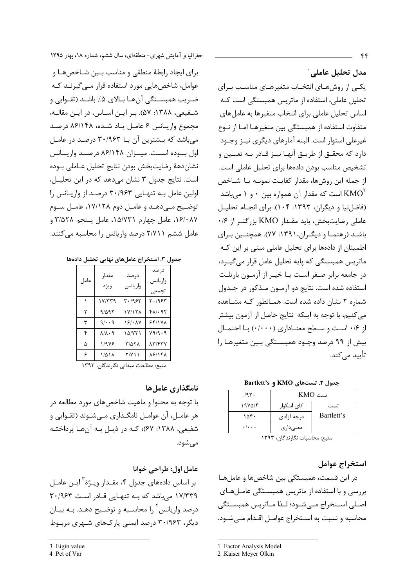مدل تحلیل عاملے،` یکی از روشهای انتخـاب متغیرهـای مناسـب بـرای تحلیل عاملی، استفاده از ماتریس همبستگی است کـه اساس تحلیل عاملی برای انتخاب متغیرها به عاملهای متفاوت استفاده از همبستگی بین متغیرهـا امـا از نـوع غیرعلی استوار است. البته آمارهای دیگری نیـز وجـود دارد که محقــق از طريــق آنهــا نيــز قــادر بــه تعيــين و تشخیص مناسب بودن دادهها برای تحلیل عاملی است. از جمله این روشها، مقدار کفایت نمونـه یـا شـاخص است که مقدار آن همواره بین ۰ و ۱ میباشد  ${\rm KMO}^{\rm r}$ (فاضلنیا و دیگران، ۱۳۹۳: ۱۰۴). برای انجـام تحلیـل عاملی رضایتبخش، باید مقـدار KMO بزرگتـر از ۰/۶ باشـد (رهنمـا و دیگـران،١٣٩١: ٧٧). همچنـین بـرای اطمینان از دادهها برای تحلیل عاملی مبنی بر این کـه ماتریس همبستگی که پایه تحلیل عامل قرار می گیـرد، در جامعه برابر صفر است یـا خیـر از آزمـون بارتلـت استفاده شده است. نتایج دو آزمـون مـذکور در جـدول شماره ٢ نشان داده شده است. همـانطور کـه مشـاهده می کنیم، با توجه به اینکه نتایج حاصل از آزمون بیشتر از ۱۶۰ است و سطح معنـاداری (۱۰۰۰) بـا احتمـال بیش از ۹۹ درصد وجـود همبسـتگی بـین متغیرهـا را تأييد مے كند.

Bartlett's 9 KMO و Bartlett's

| 195.                      | تست KMO                |            |  |
|---------------------------|------------------------|------------|--|
| ۱۹۷۵/۴                    | کای اسکوا <sub>د</sub> | تست        |  |
| ۱۵۴۰                      | درجه آزادي             | Bartlett's |  |
| $\cdot$ / $\cdot$ $\cdot$ | معنی دار ی             |            |  |

منبع: محاسبات نگارندگان، ۱۳۹۳

استخراج عوامل

در این قسمت، همبستگی بین شاخصها و عاملها بررسی و با استفاده از ماتریس همبستگی عاملهای اصلی استخراج مےشود؛ لـذا مـاتریس همبسـتگی محاسبه و نسبت به استخراج عوامـل اقـدام مـى شـود.

جغرافیا و آمایش شهری-منطقهای، سال ششم، شماره ۱۸، بهار ۱۳۹۵

برای ایجاد رابطهٔ منطقی و مناسب بین شاخصها و عوامل، شاخصهایی مورد استفاده قرار مـی5یرنـد کـه ضريب همبسـتگي آنهـا بـالاي ۵٪ باشـد (تقـوايي و شفيعي، ١٣٨٨: ۵٧). بر اين اساس، در اين مقاله، مجموع واريـانس ۶ عامـل يـاد شـده، ۸۶/۱۴۸ درصـد میباشد که بیشترین آن بـا ۳۰/۹۶۳ درصـد در عامـل اول بوده است. میران ۸۶/۱۴۸ درصد واریانس نشاندههٔ رضایتبخش بودن نتایج تحلیل عـاملی بـوده است. نتایج جدول ۳ نشان می دهد که در این تحلیل، اولین عامل بـه تنهـایی ۳۰/۹۶۳ درصـد از واریـانس را توضیح مےدهـد و عامـل دوم ۱۷/۱۲۸، عامـل سـوم ۰۱۶/۰۸۷ عامل چهارم ۱۵/۷۳۱، عامل پنجم ۳/۵۲۸ و عامل ششم ٢/٧١١ درصد واریانس را محاسبه می کنند.

جدول ٣. استخراج عاملهای نهایی تحلیل دادهها

| عامل | مقدار<br>ويژه             | درصد<br>واريانس | در صد<br>واريانس<br>تجمعى |
|------|---------------------------|-----------------|---------------------------|
|      | ۲۳۳۹ (                    | ۳۰/۹۶۳          | ۳۰/۹۶۳                    |
| ٢    | 9/595                     | ۱۷/۱۲۸          | $f \wedge / \cdot 97$     |
| ٣    | 9/4.9                     | 18/11           | 55/19 <sub>A</sub>        |
| ۴    | $\lambda/\lambda \cdot 9$ | ۱۵/۷۳۱          | Y9/9.9                    |
| ۵    | 1/978                     | <b>MATA</b>     | <b>AT/FTV</b>             |
| ۶    | ۱/۵۱۸                     | ۲/۷۱۱           | <b>ASISKA</b>             |

منبع: مطالعات میدانی نگارندگان، ۱۳۹۳

### نامگذاری عامل ها

با توجه به محتوا و ماهیت شاخصهای مورد مطالعه در هر عامـل، آن عوامـل نامگـذاري مـيشـوند (تقـوايي و شفیعی، ۱۳۸۸: ۶۷)؛ کـه در ذیـل بـه آنهـا پرداختـه مے شود.

عامل اول: طراحي خوانا

بر اساس دادههای جدول ۴، مقـدار ویـژهٔ آیـن عامـل ١٧/٣٣٩ میباشد که بـه تنهـایی قـادر اسـت ٣٠/٩۶٣ درصد واریانس ٔ را محاسـبه و توضـیح دهـد. بـه بیـان دیگر، ۳۰/۹۶۳ درصد ایمنی پارکھای شـهری مربـوط

<sup>1 .</sup>Factor Analysis Model

<sup>2 .</sup>Kaiser Meyer Olkin

<sup>3 .</sup>Eigin value

<sup>4.</sup>Pct of Var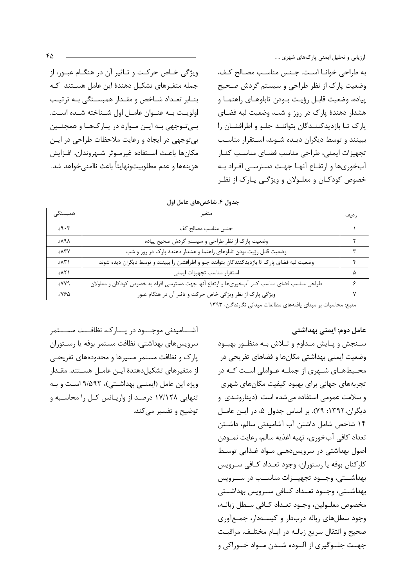به طراحی خوانـا اسـت. جـنس مناسـب مصـالح كـف، وضعیت پارک از نظر طراحی و سیستم گردش صحیح يياده، وضعيت قابـل رؤيـت بـودن تابلوهـاي راهنمـا و هشدار دهندهٔ پارک در روز و شب، وضعیت لبه فضای يارک تـا بازديدکننـدگان بتواننـد جلـو و اطرافشـان را ببینند و توسط دیگران دیده شـوند، اسـتقرار مناسـب تجهيزات ايمنى، طراحى مناسب فضاى مناسب كنـار آبخوریها و ارتفـاع آنهـا جهـت دسترسـی افـراد بـه خصوص کودکـان و معلـولان و ویژگـی پـارک از نظـر

ویژگی خـاص حرکـت و تـاثیر آن در هنگـام عبـور، از جمله متغیرهای تشکیل دهندهٔ این عامل هستند که بنـابر تعـداد شـاخص و مقـدار همبسـتگی بـه ترتیـب اولويـت بـه عنـوان عامـل اول شـناخته شـده اسـت. بے توجھے بے اپن موارد در پارکھا و ھمچنین بي توجهي در ايجاد و رعايت ملاحظات طراحي در ايـن مكانها باعث استفاده غيرمـوثر شـهروندان، افـزايش هزينهها و عدم مطلوبيتونهايتاً باعث ناامني خواهد شد.

|  | جدول ۴. شاخصهای عامل اول |  |
|--|--------------------------|--|
|--|--------------------------|--|

| همبستگے ِ        | متغير                                                                                         | , ديف |
|------------------|-----------------------------------------------------------------------------------------------|-------|
| 19.7             | جنس مناسب مصالح كف                                                                            |       |
| <b>APAL</b>      | وضعیت پارک از نظر طراحی و سیستم گردش صحیح پیاده                                               |       |
| $J\Lambda$ ۳ $V$ | وضعیت قابل رؤیت بودن تابلوهای راهنما و هشدار دهندهٔ پارک در روز و شب                          |       |
| $1/\lambda T$    | وضعیت لبه فضای پارک تا بازدیدکنندگان بتوانند جلو و اطرافشان را ببینند و توسط دیگران دیده شوند |       |
| JAT              | استقرار مناسب تجهيزات ايمنى                                                                   | ۵     |
| /۷۷۹             | طراحی مناسب فضای مناسب کنار آبخوریها و ارتفاع آنها جهت دسترسی افراد به خصوص کودکان و معلولان  | ۶     |
| ۷۶۵.             | ویژگی پارک از نظر ویژگی خاص حرکت و تاثیر آن در هنگام عبور                                     |       |

منبع: محاسبات بر مبناى يافتههاى مطالعات ميدانى نگارندگان، ١٣٩٣

#### عامل دوم: ایمنی بهداشتی

سـنجش ويبايش مـداوم وتـلاش بـه منظـور بهبـود وضعیت ایمنی بهداشتی مکانها و فضاهای تفریحی در محیطهای شـهری از جملـه عـواملی اسـت کـه در تجربههای جهانی برای بهبود کیفیت مکانهای شهری و سلامت عمومی استفاده می شده است (دینارونـدی و دیگران، ۱۳۹۲: ۷۹). بر اساس جدول ۵، در ایـن عامـل ۱۴ شاخص شامل داشتن آب آشامیدنی سالم، داشـتن تعداد كافي آبخوري، تهيه اغذيه سالم، رعايت نمــودن اصول بهداشتی در سرویسدهے مـواد غـذایی توسـط كاركنان بوفه يا رستوران، وجود تعـداد كـافي سـرويس بهداشــتي، وجــود تجهيــزات مناســب در ســرويس بهداشــتي، وجــود تعــداد كــافي ســرويس بهداشــتي مخصوص معلـولين، وجـود تعـداد كـافي سـطل زبالـه، وجود سطلهای زباله دربدار و کیسـهدار، جمـع آوری صحيح و انتقال سريع زبالـه در ايـام مختلـف، مراقبـت جهـت جلــوگيري از آلــوده شــدن مــواد خــوراكي و

آشــــامیدنی موجــــود در پــــارک، نظافـــت مســــتمر سرويسهاي بهداشتي، نظافت مستمر بوفه يا رسـتوران یارک و نظافت مستمر مسیرها و محدودههای تفریحے از متغیرهای تشکیل دهندهٔ ایـن عامـل هســتند. مقــدار ويژه اين عامل (ايمني بهداشتي)، ٩/۵٩٢ است و بـه تنهایی ۱۷/۱۲۸ درصد از واریانس کل را محاسبه و توضیح و تفسیر مے کند.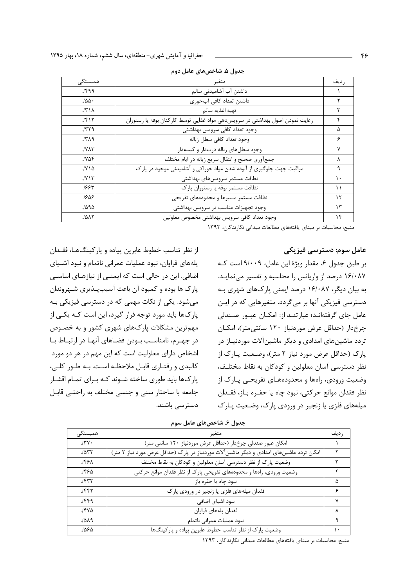| همبستگے،                       | متغير                                                                        | , ديف    |
|--------------------------------|------------------------------------------------------------------------------|----------|
| 1499                           | داشتن آب آشامیدنی سالم                                                       |          |
| 100.                           | داشتن تعداد كافي آبخوري                                                      |          |
| $1/\Upsilon \setminus \Lambda$ | تهيه اغذيه سالم                                                              | ٣        |
| 1517                           | رعایت نمودن اصول بهداشتی در سرویسدهی مواد غذایی توسط کارکنان بوفه یا رستوران | ۴        |
| 1779                           | وجود تعداد كافي سرويس بهداشتي                                                | Δ        |
| 151                            | وجود تعداد كافي سطل زباله                                                    | ۶        |
| $JY\Lambda Y$                  | وجود سطلهای زباله دربدار و کیسهدار                                           | ۷        |
| ۷۵۴.                           | جمعأوري صحيح وانتقال سريع زباله در ايام مختلف                                | ٨        |
| $JY \wedge \Delta$             | مراقبت جهت جلوگیری از آلوده شدن مواد خوراکی و آشامیدنی موجود در پارک         | ٩        |
| $JY \setminus Y$               | نظافت مستمر سرويسهاى بهداشتى                                                 | ١.       |
| 1885                           | نظافت مستمر بوفه یا رستوران پارک                                             | ۱۱       |
| ٦۶۵۶                           | نظافت مستمر مسيرها و محدودههاى تفريحى                                        | ۱۲       |
| 1595                           | وجود تجهيزات مناسب در سرويس بهداشتي                                          | $\gamma$ |
| 1017                           | وجود تعداد كافي سرويس بهداشتي مخصوص معلولين                                  | ۱۴       |

جدول ۵. شاخصهای عامل دوم

منبع: محاسبات بر مبنای یافتههای مطالعات میدانی نگارندگان، ۱۳۹۳

#### عامل سوم: دسترسی فیزیکی

بر طبق جدول ۶، مقدار ویژهٔ این عامل، ۹/۰۰۹ است کـه ۱۶/۰۸۷ درصد از واریانس را محاسبه و تفسیر می نمایـد. به بیان دیگر، ۱۶/۰۸۷ درصد ایمنی پارکهای شهری بـه دسترسی فیزیکی آنها بر می گردد. متغیرهایی که در ایـن عامل جای گرفتهاند؛ عبارتند از: امکان عبور صندلی چرخ دار (حداقل عرض موردنیاز ۱۲۰ سانتی متر)، امکـان تردد ماشینهای امدادی و دیگر ماشینآلات موردنیـاز در پارک (حداقل عرض مورد نیاز ۲ متر)، وضعیت پـارک از نظر دسترسی آسان معلولین و کودکان به نقاط مختلـف، وضعیت ورودی، راهها و محدودههـای تفریحـی پـارک از نظر فقدان موانع حركتي، نبود چاه يا حفـره بـاز، فقـدان میلههای فلزی یا زنجیر در ورودی پارک، وضعیت پـارک

از نظر تناسب خطوط عابرین پیاده و پارکینگ@ا، فقـدان یلههای فراوان، نبود عملیات عمرانی ناتمام و نبود اشـیای اضافی. این در حالی است که ایمنـی از نیازهـای اساسـی یارک ها بوده و کمبود آن باعث آسیبپذیری شـهروندان می شود. یکی از نکات مهمی که در دسترسی فیزیکی بـه پارکھا باید مورد توجه قرار گیرد، این است کـه یکـی از مهمترین مشکلات پارک&ای شهری کشور و به خصـوص در جهـرم، نامناسـب بـودن فضـاهاى آنهـا در ارتبـاط بـا اشخاص دارای معلولیت است که این مهم در هر دو مورد كالبدى و رفتـارى قابـل ملاحظـه اسـت. بـه طـور كلـي، یارکھا باید طوری ساخته شـوند کـه بـرای تمـام اقشـار جامعه با ساختار سنی و جنسی مختلف به راحتبی قابل دسترسے باشند.

| همبستگے <sub>،</sub> | متغير                                                                                    | , ديف |
|----------------------|------------------------------------------------------------------------------------------|-------|
| 15.1                 | امکان عبور صندلی چرخدار (حداقل عرض موردنیاز ۱۲۰ سانتی متر)                               |       |
| 1057                 | امکان تردد ماشینهای امدادی و دیگر ماشینآلات موردنیاز در پارک (حداقل عرض مورد نیاز ۲ متر) |       |
| ۱۴۶۸.                | وضعیت پارک از نظر دسترسی آسان معلولین و کودکان به نقاط مختلف                             |       |
| ۸۴۶).                | وضعیت ورودی، رامها و محدودههای تفریحی پارک از نظر فقدان موانع حرکتی                      |       |
| ۴۳۳.                 | نبود چاه يا حفره باز                                                                     | ۵     |
| ۶۴۲.                 | فقدان میلههای فلزی یا زنجیر در ورودی پارک                                                | ۶     |
| ۴۴۹.                 | نبود اشياى اضافى                                                                         | ۷     |
| ۱۴۷۵.                | فقدان يلههاى فراوان                                                                      |       |
| 1519                 | نبود عملیات عمرانی ناتمام                                                                |       |
| ۱۵۶۵.                | وضعیت پارک از نظر تناسب خطوط عابرین پیاده و پارکینگها                                    | ۱۰    |

جدول ۶. شاخصهای عامل سوم

منبع: محاسبات بر مبنای یافتههای مطالعات میدانی نگارندگان، ۱۳۹۳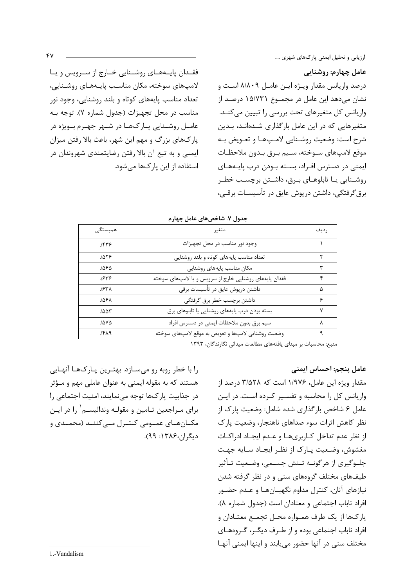عامل چهارم: روشنایی درصد واریانس مقدار ویـژه ایـن عامـل ۸/۸۰۹ اسـت و نشان میدهد این عامل در مجمـوع ۱۵/۷۳۱ درصـد از واریانس کل متغیرهای تحت بررسی را تبیین می کنـد. متغیرهایی که در این عامل بارگذاری شـدهانـد، بـدین شرح است: وضعيت روشـنايي لامـپهـا و تعـويض بـه موقع لاميهاى سـوخته، سـيم بـرق بـدون ملاحظـات ایمنی در دسترس افـراد، بسـته بـودن درب پایـههـای روشـنایی یـا تابلوهـای بـرق، داشـتن برچسـب خطـر برق گرفتگی، داشتن دریوش عایق در تأسیسـات برقــی،

فقـدان پایـههـای روشـنایی خـارج از سـرویس و یـا لامپهای سوخته، مکان مناسب پایـههـای روشـنایی، تعداد مناسب پایههای کوتاه و بلند روشنایی، وجود نور مناسب در محل تجهیزات (جدول شماره ۷). توجه بـه عامـل روشــنايي پــارکـهــا در شــهر جهــرم بــويژه در پارکهای بزرگ و مهم این شهر، باعث بالا رفتن میزان ایمنی و به تبع آن بالا رفتن رضایتمندی شهروندان در استفاده از این یارک% می شود.

| همبستگے، | متغير                                                  | , ديف |
|----------|--------------------------------------------------------|-------|
| 1559     | وجود نور مناسب در محل تجهيزات                          |       |
| 1059     | تعداد مناسب پایههای کوتاه و بلند روشنایی               |       |
| ۱۵۶۵.    | مکان مناسب پایههای روشنایی                             | ٣     |
| ۱۶۳۶     | فقدان پایههای روشنایی خارج از سرویس و یا لامپهای سوخته | ۴     |
| $J$ ۶۳۸  | داشتن درپوش عایق در تأسیسات برقی                       | ۵     |
| 156٨.    | داشتن برچسب خطر برق گرفتگى                             | ۶     |
| 7۵۵۳.    | بسته بودن درب پایههای روشنایی یا تابلوهای برق          | ٧     |
| ۷۵۵/     | سیم برق بدون ملاحظات ایمنی در دسترس افراد              | ٨     |
| 151      | وضعیت روشنایی لامپها و تعویض به موقع لامپهای سوخته     |       |
|          | ا القاطعة القطاعية الصائحة الصحيفة المتحدثة المتحدثة   |       |

| جدول ۷. شاخصهای عامل چهارم |  |  |  |
|----------------------------|--|--|--|
|----------------------------|--|--|--|

منبع: محاسبات بر مبنای یافتههای مطالعات میدانی نگارندگان، ۱۳۹۳

#### عامل ينجم: احساس ايمنى

مقدار ویژه این عامل، ۱/۹۷۶ است که ۳/۵۲۸ درصد از واریانس کل را محاسبه و تفسیر کرده است. در این عامل ۶ شاخص بارگذاری شده شامل: وضعیت پارک از نظر كاهش اثرات سوء صداهاى ناهنجار، وضعيت يارك از نظر عدم تداخل كـاربرىهـا و عـدم ايجـاد ادراكـات مغشوش، وضعيت پـارک از نظـر ايجـاد سـايه جهـت جلـوگیری از هرگونــه تــنش جســمی، وضـعیت تــأثیر طیفهای مختلف گروههای سنی و در نظر گرفته شدن نیازهای آنان، کنترل مداوم نگهبـانهـا و عـدم حضـور افراد ناباب اجتماعی و معتادان است (جدول شماره ۸). يارك&ا از يک طرف همـواره محـل تجمـع معتـادان و افراد ناباب اجتماعی بوده و از طرف دیگـر، گـروههـای مختلف سنی در آنها حضور می یابند و اینها ایمنی آنهـا

را با خطر روبه رو می سـازد. بهتـرین یـارکـهـا آنهـایی هستند که به مقوله ایمنی به عنوان عاملی مهم و مـؤثر در جذابیت یارکها توجه می نمایند، امنیت اجتماعی را برای مـراجعین تـامین و مقولـه وندالیسـم` را در ایـن مکــانهــای عمــومی کنتــرل مــی کننــد (محمــدی و دیگران،۱۳۸۶: ۹۹).

 $Y$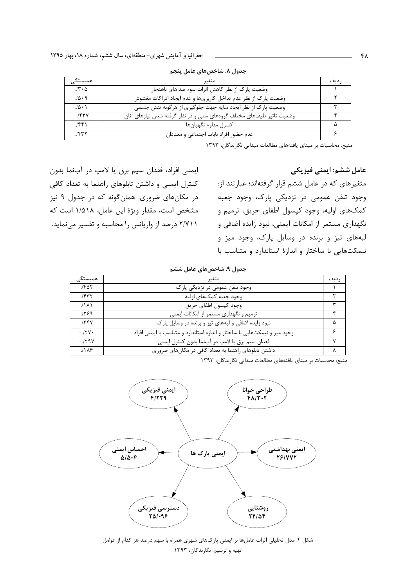| همبستگے <sub>،</sub>       | متغير                                                                | د ىف |
|----------------------------|----------------------------------------------------------------------|------|
| $J\mathbf{Y} \cdot \Delta$ | وضعیت پارک از نظر کاهش اثرات سوء صداهای ناهنجار                      |      |
| 10.9                       | وضعیت پارک از نظر عدم تداخل کاربریها و عدم ایجاد ادراکات مغشوش       |      |
| $\Lambda \cdot \Lambda$    | وضعیت پارک از نظر ایجاد سایه جهت جلوگیری از هرگونه تنش جسمی          |      |
| $-754$                     | وضعیت تاثیر طیفهای مختلف گروههای سنی و در نظر گرفته شدن نیازهای آنان |      |
| 1551                       | کنترل مداوم نگهبانها                                                 |      |
| 1557                       | عدم حضور افراد ناباب اجتماعی و معتادان                               |      |

جدول ٨. شاخصهای عامل پنجم

منبع: محاسبات بر مبنای یافتههای مطالعات میدانی نگارندگان، ۱۳۹۳

ایمنی افراد، فقدان سیم برق یا لامپ در آبنما بدون کنترل ایمنی و داشتن تابلوهای راهنما به تعداد کافی در مکانهای ضروری. همانگونه که در جدول ۹ نیز مشخص است، مقدار ویژهٔ این عامل، ۱/۵۱۸ است که ۲/۷۱۱ درصد از واریانس را محاسبه و تفسیر می نماید.

عامل ششم: ایمنی فیزیکی متغیرهای که در عامل ششم قرار گرفتهاند؛ عبارتند از: وجود تلفن عمومی در نزدیکی پارک، وجود جعبه کمکهای اولیه، وجود کپسول اطفای حریق، ترمیم و نگهداری مستمر از امکانات ایمنی، نبود زایده اضافی و لبههای تیز و برنده در وسایل پارک، وجود میز و نیمکتهایی با ساختار و اندازهٔ استاندارد و متناسب با

| جدول ۹. شاخصهای عامل ششم |  |  |  |  |  |  |  |
|--------------------------|--|--|--|--|--|--|--|
|--------------------------|--|--|--|--|--|--|--|

| همبستگے <sub>،</sub> | متغير                                                                     | , ديف |
|----------------------|---------------------------------------------------------------------------|-------|
| ۶۵۲.                 | وجود تلفن عمومی در نزدیکی پارک                                            |       |
| 1577                 | وجود جعبه كمكـهاى اوليه                                                   |       |
| ۸۸۱.                 | وجود کیسول اطفای حریق                                                     | ٣     |
| ۶۶۹.                 | ترمیم و نگهداری مستمر از امکانات ایمنی                                    | ۴     |
| 178V                 | نبود زایده اضافی و لبههای تیز و برنده در وسایل پارک                       | Δ     |
| $-J\Upsilon V$       | وجود میز و نیمکتهایی با ساختار و اندازه استاندارد و متناسب با ایمنی افراد | ۶     |
| $-1798$              | فقدان سيم برق يا لامپ در آبنما بدون كنترل ايمنى                           | v     |
| 11A9                 | داشتن تابلوهای راهنما به تعداد کافی در مکانهای ضروری                      |       |

منبع: محاسبات بر مبنای یافتههای مطالعات میدانی نگارندگان، ۱۳۹۳



شکل ۴. مدل تحلیلی اثرات عاملها بر ایمنی پارکهای شهری همراه با سهم درصد هر کدام از عوامل تهیه و ترسیم: نگارندگان، ۱۳۹۳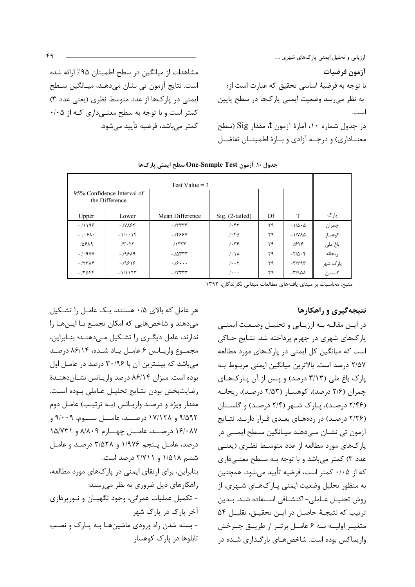مشاهدات از میانگین در سطح اطمینان ۹۵٪ ارائه شده است. نتايج آزمون تي نشان ميدهـد، ميـانگين سـطح ایمنی در پارکها از عدد متوسط نظری (یعنی عدد ۳) کمتر است و با توجه به سطح معنـیداری کـه از ۰/۰۵ کمتر مے باشد، فرضیه تأیید مے شود.

|          | 95% Confidence Interval of<br>the Difference | Test Value = $3$                    |                   |    |                                         |          |
|----------|----------------------------------------------|-------------------------------------|-------------------|----|-----------------------------------------|----------|
| Upper    | Lower                                        | Mean Difference                     | Sig. (2-tailed)   | Df | T                                       | پارک     |
| $-11199$ | $-1$ $V_{\Lambda}$ ۶۳                        | $-755$                              | 1.57              | ۲۹ | $-1/\Delta \cdot \Delta$                | چمران    |
| $-1.5A.$ | $-1/\cdot \cdot 1$                           | $-J$ ۴۶۶۷                           | 1.50              | ۲۹ | $-1/\gamma\lambda\Delta$                | كوهسار   |
| 15819    | $J\mathbf{r} \cdot \mathbf{r} \mathbf{r}$    | $J\Upsilon\Upsilon\Upsilon\Upsilon$ | 1.59              | ٢٩ | ۱۶۲۶                                    | باغ ملی  |
| $-1.9VV$ | $-199A9$                                     | $-./\Delta T T T$                   | $J \cdot \Lambda$ | ۲۹ | $-\frac{1}{2}$                          | ريحانه   |
| $-7577$  | $-19918$                                     | $-19$                               | $1 \cdot \cdot 7$ | ۲۹ | $-\mathbf{r}/\mathbf{r}$ 9 $\mathbf{r}$ | پارک شهر |
| $-.7088$ | $-1/115$                                     | $-1$ $V$ $V$ $V$ $V$ $V$            | $\frac{1}{2}$     | ۲۹ | $-\mathcal{r}/9$ ۵۸                     | گلستان   |

جدول ١٠. آزمون One-Sample Test سطح ايمنى ياركها

منبع: محاسبات بر مبنای یافتههای مطالعات میدانی نگارندگان، ۱۳۹۳

نتیجهگیری و راهکارها

در ايــن مقالــه بــه ارزيــابي و تحليــل وضـعيت ايمنــي پارکهای شهری در جهرم پرداخته شد. نتـایج حـاکی است که میانگین کل ایمنی در یارکهای مورد مطالعه ٢/٥٧ درصد است. بالاترین میانگین ایمنی مربوط بـه پارک باغ ملي (٣/١٣ درصد) و پس از آن پارکهاي چمران (۲/۶ درصد)، کوهسـار (۲/۵۳ درصـد)، ريحانـه (۲/۴۶ درصد)، یارک شـهر (۲/۴ درصـد) و گلسـتان (۲/۲۶ درصد) در ردههای بعدی قرار دارند. نتایج آزمون تي نشــان مــي٥هــد ميــانگين ســطح ايمنــي در یارک&ای مورد مطالعه از عدد متوسط نظـری (یعنـی عدد ۳) کمتر میباشد و با توجه بـه سـطح معنـیداری كه از ۰/۰۵ كمتر است، فرضيه تأييد مي شود. همچنين به منظور تحلیل وضعیت ایمنی پـارک@عای شـهری، از روش تحليـل عـاملي- اكتشـافي اسـتفاده شـد. بـدين ترتيب كه نتيجـهٔ حاصـل در ايـن تحقيـق، تقليـل ۵۴ متغيـر اوليــه بــه ۶ عامــل برتــر از طريــق چــرخش واریماکس بوده است. شاخصهای بارگذاری شده در

هر عامل که بالای ۰/۵ هستند، یک عامل را تشکیل می دهند و شاخصهایی که امکان تجمـع بـا ایـنهـا را ندارند، عامل دیگری را تشکیل مے،دهنـد؛ بنـابراین، مجموع واريـانس ۶ عامـل يـاد شـده، ۸۶/۱۴ درصـد می باشد که بیشترین آن با ۳۰/۹۶ درصد در عامـل اول بوده است. میزان ۸۶/۱۴ درصد واریـانس نشـاندهنـدهٔ رضايت بخش بودن نتـايج تحليـل عـاملي بـوده اسـت. مقدار ویژه و درصد واریانس (به ترتیب) عامل دوم ۹/۵۹۲ و ۱۷/۱۲۸ درصــد، عامـــل ســـوم، ۹/۰۰۹ و ۱۶/۰۸۷ درصـد، عامــل چهــارم ۸/۸۰۹ و ۱۵/۷۳۱ درصد، عامـل پـنجم ۱/۹۷۶ و ۳/۵۲۸ درصـد و عامـل ششم ۱/۵۱۸ و ۲/۷۱۱ درصد است. بنابراین، برای ارتقای ایمنی در پارکهای مورد مطالعه، راهکارهای ذیل ضروری به نظر میرسند: - تکمیل عملیات عمرانی، وجود نگهبـان و نـورپردازی آخر پارک در پارک شهر - بسته شدن راه ورودی ماشینها بـه پـارک و نصـب تابلوها در پارک کوهسار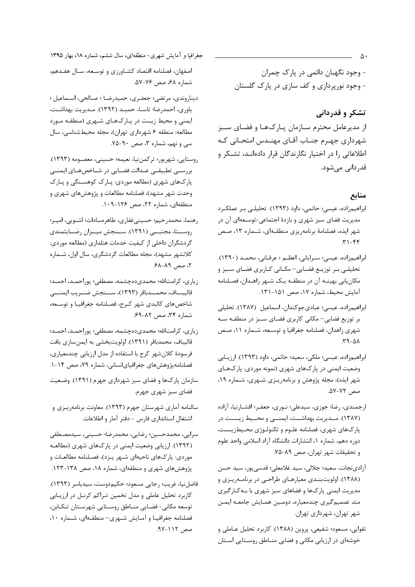- وجود نگهبان دائمي در پارک چمران - وجود نورپردازی و کف سازی در پارک گلستان

تشکر و قدردانی از مدیرعامل محترم سـازمان پـارکھـا و فضـای سـبز شهرداری جهـرم جنـاب آقـای مهنـدس امتحـانی كـه اطلاعاتی را در اختیار نگارندگان قرار دادهانـد، تشـكر و قدردانی می شود.

## منابع

- ابراهیمزاده، عیسی؛ حاتمی، داود (۱۳۹۳). تحلیلـی بـر عملكـرد مدیریت فضای سبز شهری و بازدهٔ اجتماعی-توسـعهای آن در شهر ایذه، فصلنامهٔ برنامهریزی منطقهای، شـماره ۱۳، صـص
- ابراهیمزاده، عیسی؛ سـرایانی، اعظـم ؛ عرفـانی، محمـد (١٣٩٠). تحلیلـی بـر توزیـع فضـایی- مکـانی کـاربری فضـای سـبز و مکان یابی بهینــه آن در منطقــه یـک شــهر زاهــدان، فصـلنامه آمایش محیط، شماره ۱۷، صص ۱۵۱-۱۳۱.
- ابراهيمزاده، عيسى؛ عبادىجوكندان، اسماعيل (١٣٨٧). تحليلى بر توزیع فضایی— مکانی کاربری فضـای سـبز در منطقــه ســه شهری زاهدان، فصلنامه جغرافیا و توسعه، شـماره ١١، صـص  $A \Delta - \beta$
- ابراهیمزاده، عیسی؛ ملکی، سعید؛ حاتمی، داود (۱۳۹۳). ارزیـابی وضعیت ایمنی در پارکهای شهری (نمونه موردی: پارکهای شهر ایذه)، مجله پژوهش و برنامهریـزی شـهری، شـماره ١٩، صص ٧٢-٥٧.
- ارجمندي، رضا؛ جوزي، سيدعلي؛ نـوري، جعفـر؛ افشـارنيا، آزاده (۱۳۸۷). مــدیریت بهداشــت، ایمنــی و محــیط زیســت در پارکهای شهری، فصلنامه علـوم و تکنولـوژی محـيطزيسـت، دوره دهم، شماره ۱، انتشارات دانشگاه آزاد اسلامی واحد علوم و تحقیقات شهر تهران، صص ۸۹-۷۵.
- آزادي نجات، سعيد؛ جلالي، سيد غلامعلي؛ قدسي پور، سيد حسن (۱۳۸۸). اولویتبندی معیارهای طراحی در برنامهریزی و مدیریت ایمنی پارکها و فضاهای سبز شهری با بـهکـارگیری متد تصميم گيري چندمعياره، دومـين همـايش جامعـه ايمـن شهر تهران، شهرداری تهران.
- تقوایی، مسعود؛ شفیعی، پروین (۱۳۸۸). کاربرد تحلیل عـاملی و خوشهای در ارزیابی مکانی و فضایی منـاطق روسـتایی اسـتان
- جغرافیا و آمایش شهری-منطقهای، سال ششم، شماره ۱۸، بهار ۱۳۹۵ اصفهان، فصلنامه اقتصاد كشـاورزي و توسـعه، سـال هفـدهم، شماره ۶۸، صص ۷۶-۵۷.
- ديناروندي، مرتضي؛ جعفـري، حميدرضـا ؛ صـالحي، اسـماعيل ؛ ياوري، احمدرضا؛ تاسـا، حميـد (١٣٩٢). مـديريت بهداشـت، ایمنی و محیط زیست در پارکهای شهری (منطقه مورد مطالعه: منطقه ۶ شهرداري تهران)، مجله محيطشناسي، سال سی و نهم، شماره ۳، صص ۹۰-۷۵.
- روستايي، شهريور؛ تركمن نيا، نعيمه؛ حسيني، معصومه (١٣٩٣). بررسـی تطبیقـی عـدالت فضـایی در شـاخصهـای ایمنـی پارکهای شهری (مطالعه موردی: پـارک کوهسـنگی و پـارک وحدت شهر مشهد)، فصلنامه مطالعات و پژوهشهای شهری و منطقهای، شماره ٢٢، صص ١٢۶-١٠٩.
- رهنما، محمدرحيم؛ حسيني غفاري، طاهرهسادات؛ اشنويي، امير؛ روسـتا، مجتبــی (١٣٩١). ســنجش ميــزان رضــايتمندی گردشگران داخلی از کیفیت خدمات هتلداری (مطالعه موردی: كلانشهر مشهد)، مجله مطالعات گردشگري، سال اول، شـماره ٢، صص ٨٩-۶٨.
- زياري، كرامتالله؛ محمدي٥٥چشمه، مصطفى؛ پوراحمـد، احمـد؛ قاليبـــاف، محمـــدباقر (١٣٩٣)، ســـنجش ضـــريب ايمنــــى شاخصهای کالبدی شهر کرج، فصلنامه جغرافیـا و توسـعه، شماره ۳۴، صص ۸۲-۶۹.
- زياري، كرامتالله؛ محمديدهچشمه، مصطفى؛ پوراحمـد، احمـد؛ قالیباف، محمدباقر (۱۳۹۱). اولویتبخشی به ایمنسازی بافت فرسودهٔ کلانشهر کرج با استفاده از مدل ارزیابی چندمعیاری، فصلنامهپژوهشهای جغرافیایانسانی، شماره ۷۹، صص ۱۴-۱.
- سازمان پارکھا و فضای سبز شهرداری جهرم (۱۳۹۱). وضعیت فضای سبز شهری جهرم.
- سالنامه آماري شهرستان جهرم (١٣٩٣). معاونت برنامهريـزي و اشتغال استانداري فارس - دفتر آمار و اطلاعات.
- سرايي، محمدحسين؛ رضايي، محمدرضا؛ حسيني، سيدمصطفى (۱۳۹۲). ارزیابی وضعیت ایمنی در پارکهای شهری (مطالعـه موردی: پارکهای ناحیهای شـهر یـزد)، فصـلنامه مطالعـات و پژوهشهای شهری و منطقهای، شماره ۱۸، صص ۱۳۸-۱۲۳.
- فاضلنيا، غريب؛ رجايي مسعود؛ حكيم دوست، سيدياسر (١٣٩٣). کاربرد تحلیل عاملی و مدل تخمین تـراکم کرنـل در ارزیـابی توسعه مكاني- فضايي مناطق روستايي شهرستان تنكابن، فصلنامه جغرافیـا و آمـایش شـهری- منطقـهای، شـماره ١٠، صص ۱۱۲-۹۷.